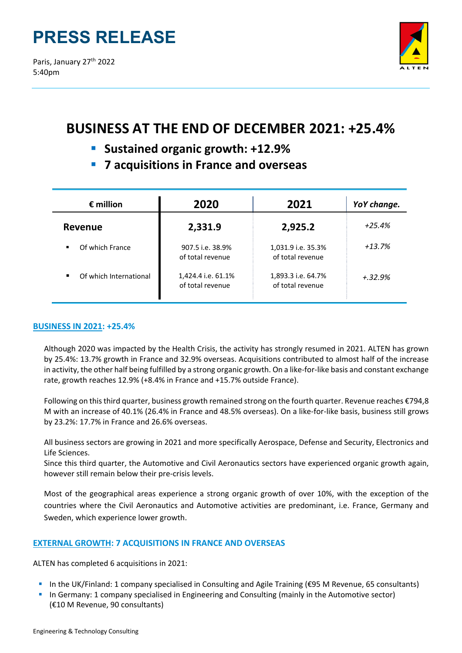

# **BUSINESS AT THE END OF DECEMBER 2021: +25.4%**

- **Sustained organic growth: +12.9%**
- **7 acquisitions in France and overseas**

| $\epsilon$ million     | 2020                                   | 2021                                   | YoY change. |
|------------------------|----------------------------------------|----------------------------------------|-------------|
| <b>Revenue</b>         | 2,331.9                                | 2,925.2                                | $+25.4%$    |
| Of which France        | 907.5 i.e. 38.9%<br>of total revenue   | 1,031.9 i.e. 35.3%<br>of total revenue | $+13.7%$    |
| Of which International | 1,424.4 i.e. 61.1%<br>of total revenue | 1,893.3 i.e. 64.7%<br>of total revenue | $+.32.9\%$  |

# **BUSINESS IN 2021: +25.4%**

Although 2020 was impacted by the Health Crisis, the activity has strongly resumed in 2021. ALTEN has grown by 25.4%: 13.7% growth in France and 32.9% overseas. Acquisitions contributed to almost half of the increase in activity, the other half being fulfilled by a strong organic growth. On a like‐for‐like basis and constant exchange rate, growth reaches 12.9% (+8.4% in France and +15.7% outside France).

Following on thisthird quarter, business growth remained strong on the fourth quarter. Revenue reaches €794,8 M with an increase of 40.1% (26.4% in France and 48.5% overseas). On a like‐for‐like basis, business still grows by 23.2%: 17.7% in France and 26.6% overseas.

All business sectors are growing in 2021 and more specifically Aerospace, Defense and Security, Electronics and Life Sciences.

Since this third quarter, the Automotive and Civil Aeronautics sectors have experienced organic growth again, however still remain below their pre‐crisis levels.

Most of the geographical areas experience a strong organic growth of over 10%, with the exception of the countries where the Civil Aeronautics and Automotive activities are predominant, i.e. France, Germany and Sweden, which experience lower growth.

# **EXTERNAL GROWTH: 7 ACQUISITIONS IN FRANCE AND OVERSEAS**

ALTEN has completed 6 acquisitions in 2021:

- In the UK/Finland: 1 company specialised in Consulting and Agile Training (€95 M Revenue, 65 consultants)
- In Germany: 1 company specialised in Engineering and Consulting (mainly in the Automotive sector) (€10 M Revenue, 90 consultants)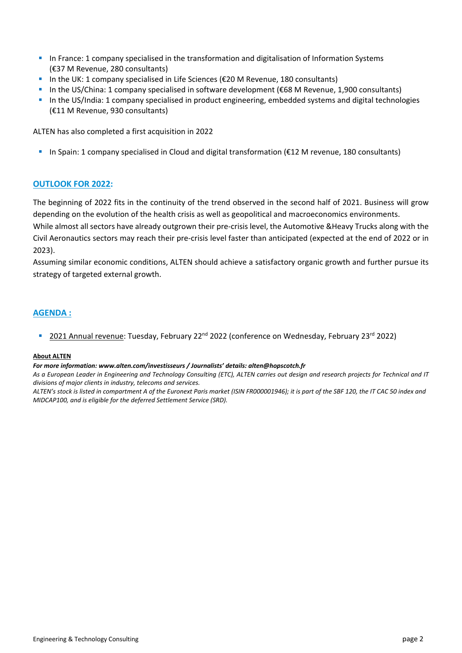- In France: 1 company specialised in the transformation and digitalisation of Information Systems (€37 M Revenue, 280 consultants)
- In the UK: 1 company specialised in Life Sciences ( $\epsilon$ 20 M Revenue, 180 consultants)
- In the US/China: 1 company specialised in software development (€68 M Revenue, 1,900 consultants)
- In the US/India: 1 company specialised in product engineering, embedded systems and digital technologies (€11 M Revenue, 930 consultants)

ALTEN has also completed a first acquisition in 2022

In Spain: 1 company specialised in Cloud and digital transformation (€12 M revenue, 180 consultants)

## **OUTLOOK FOR 2022:**

The beginning of 2022 fits in the continuity of the trend observed in the second half of 2021. Business will grow depending on the evolution of the health crisis as well as geopolitical and macroeconomics environments.

While almost all sectors have already outgrown their pre-crisis level, the Automotive &Heavy Trucks along with the Civil Aeronautics sectors may reach their pre‐crisis level faster than anticipated (expected at the end of 2022 or in 2023).

Assuming similar economic conditions, ALTEN should achieve a satisfactory organic growth and further pursue its strategy of targeted external growth.

# **AGENDA :**

<sup>2</sup> 2021 Annual revenue: Tuesday, February 22<sup>nd</sup> 2022 (conference on Wednesday, February 23<sup>rd</sup> 2022)

#### **About ALTEN**

#### *For more information: www.alten.com/investisseurs / Journalists' details: alten@hopscotch.fr*

As a European Leader in Engineering and Technology Consulting (ETC), ALTEN carries out design and research projects for Technical and IT *divisions of major clients in industry, telecoms and services.*

ALTEN's stock is listed in compartment A of the Euronext Paris market (ISIN FR000001946); it is part of the SBF 120, the IT CAC 50 index and *MIDCAP100, and is eligible for the deferred Settlement Service (SRD).*